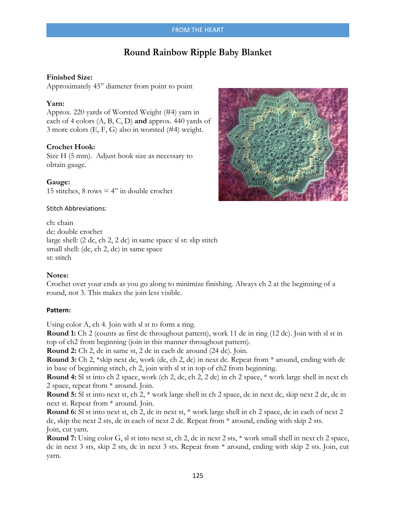# **Round Rainbow Ripple Baby Blanket**

# **Finished Size:**

Approximately 45" diameter from point to point

# **Yarn:**

Approx. 220 yards of Worsted Weight (#4) yarn in each of 4 colors (A, B, C, D) **and** approx. 440 yards of 3 more colors (E, F, G) also in worsted (#4) weight.

# **Crochet Hook:**

Size H (5 mm). Adjust hook size as necessary to obtain gauge.

**Gauge:**  15 stitches,  $8$  rows  $= 4$ " in double crochet

# Stitch Abbreviations:

ch: chain dc: double crochet large shell: (2 dc, ch 2, 2 dc) in same space sl st: slip stitch small shell: (dc, ch 2, dc) in same space st: stitch

### **Notes:**

Crochet over your ends as you go along to minimize finishing. Always ch 2 at the beginning of a round, not 3. This makes the join less visible.

### **Pattern:**

Using color A, ch 4. Join with sl st to form a ring.

**Round 1:** Ch 2 (counts as first dc throughout pattern), work 11 dc in ring (12 dc). Join with sl st in top of ch2 from beginning (join in this manner throughout pattern).

**Round 2:** Ch 2, dc in same st, 2 dc in each dc around (24 dc). Join.

**Round 3:** Ch 2, \*skip next dc, work (dc, ch 2, dc) in next dc. Repeat from \* around, ending with dc in base of beginning stitch, ch 2, join with sl st in top of ch2 from beginning.

**Round 4:** Sl st into ch 2 space, work (ch 2, dc, ch 2, 2 dc) in ch 2 space, \* work large shell in next ch 2 space, repeat from \* around. Join.

**Round 5:** Sl st into next st, ch 2, \* work large shell in ch 2 space, dc in next dc, skip next 2 dc, dc in next st. Repeat from \* around. Join.

**Round 6:** Sl st into next st, ch 2, dc in next st, \* work large shell in ch 2 space, dc in each of next 2 dc, skip the next 2 sts, dc in each of next 2 dc. Repeat from \* around, ending with skip 2 sts. Join, cut yarn.

**Round 7:** Using color G, sl st into next st, ch 2, dc in next 2 sts, \* work small shell in next ch 2 space, dc in next 3 sts, skip 2 sts, dc in next 3 sts. Repeat from \* around, ending with skip 2 sts. Join, cut yarn.